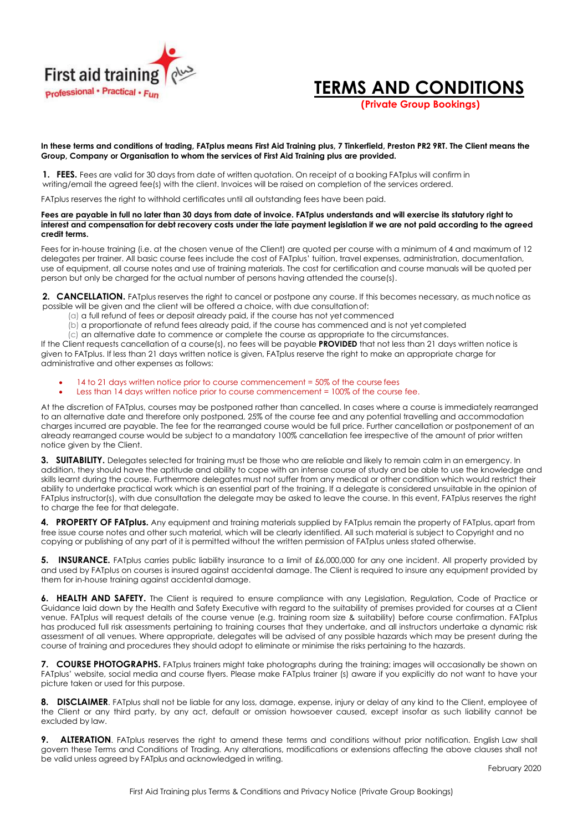



 **(Private Group Bookings)**

## **In these terms and conditions of trading, FATplus means First Aid Training plus, 7 Tinkerfield, Preston PR2 9RT. The Client means the Group, Company or Organisation to whom the services of First Aid Training plus are provided.**

**1. FEES.** Fees are valid for 30 days from date of written quotation. On receipt of a booking FATplus will confirm in writing/email the agreed fee(s) with the client. Invoices will be raised on completion of the services ordered.

FATplus reserves the right to withhold certificates until all outstanding fees have been paid.

## **Fees are payable in full no later than 30 days from date of invoice. FATplus understands and will exercise its statutory right to interest and compensation for debt recovery costs under the late payment legislation if we are not paid according to the agreed credit terms.**

Fees for in-house training (i.e. at the chosen venue of the Client) are quoted per course with a minimum of 4 and maximum of 12 delegates per trainer. All basic course fees include the cost of FATplus' tuition, travel expenses, administration, documentation, use of equipment, all course notes and use of training materials. The cost for certification and course manuals will be quoted per person but only be charged for the actual number of persons having attended the course(s).

**2. CANCELLATION.** FATplus reserves the right to cancel or postpone any course. If this becomes necessary, as much notice as possible will be given and the client will be offered a choice, with due consultationof:

- (a) a full refund of fees or deposit already paid, if the course has not yetcommenced
- (b) a proportionate of refund fees already paid, if the course has commenced and is not yet completed
- (c) an alternative date to commence or complete the course as appropriate to the circumstances.

If the Client requests cancellation of a course(s), no fees will be payable **PROVIDED** that not less than 21 days written notice is given to FATplus. If less than 21 days written notice is given, FATplus reserve the right to make an appropriate charge for administrative and other expenses as follows:

- 14 to 21 days written notice prior to course commencement = 50% of the course fees
- Less than 14 days written notice prior to course commencement = 100% of the course fee.

At the discretion of FATplus, courses may be postponed rather than cancelled. In cases where a course is immediately rearranged to an alternative date and therefore only postponed, 25% of the course fee and any potential travelling and accommodation charges incurred are payable. The fee for the rearranged course would be full price. Further cancellation or postponement of an already rearranged course would be subject to a mandatory 100% cancellation fee irrespective of the amount of prior written notice given by the Client.

**3. SUITABILITY.** Delegates selected for training must be those who are reliable and likely to remain calm in an emergency. In addition, they should have the aptitude and ability to cope with an intense course of study and be able to use the knowledge and skills learnt during the course. Furthermore delegates must not suffer from any medical or other condition which would restrict their ability to undertake practical work which is an essential part of the training. If a delegate is considered unsuitable in the opinion of FATplus instructor(s), with due consultation the delegate may be asked to leave the course. In this event, FATplus reserves the right to charge the fee for that delegate.

**4. PROPERTY OF FATplus.** Any equipment and training materials supplied by FATplus remain the property of FATplus, apart from free issue course notes and other such material, which will be clearly identified. All such material is subject to Copyright and no copying or publishing of any part of it is permitted without the written permission of FATplus unless stated otherwise.

**5. INSURANCE.** FATplus carries public liability insurance to a limit of £6,000,000 for any one incident. All property provided by and used by FATplus on courses is insured against accidental damage. The Client is required to insure any equipment provided by them for in-house training against accidental damage.

**6. HEALTH AND SAFETY.** The Client is required to ensure compliance with any Legislation, Regulation, Code of Practice or Guidance laid down by the Health and Safety Executive with regard to the suitability of premises provided for courses at a Client venue. FATplus will request details of the course venue (e.g. training room size & suitability) before course confirmation. FATplus has produced full risk assessments pertaining to training courses that they undertake, and all instructors undertake a dynamic risk assessment of all venues. Where appropriate, delegates will be advised of any possible hazards which may be present during the course of training and procedures they should adopt to eliminate or minimise the risks pertaining to the hazards.

**7. COURSE PHOTOGRAPHS.** FATplus trainers might take photographs during the training; images will occasionally be shown on FATplus' website, social media and course flyers. Please make FATplus trainer (s) aware if you explicitly do not want to have your picture taken or used for this purpose.

**8. DISCLAIMER**. FATplus shall not be liable for any loss, damage, expense, injury or delay of any kind to the Client, employee of the Client or any third party, by any act, default or omission howsoever caused, except insofar as such liability cannot be excluded by law.

**9.** ALTERATION. FATplus reserves the right to amend these terms and conditions without prior notification. English Law shall govern these Terms and Conditions of Trading. Any alterations, modifications or extensions affecting the above clauses shall not be valid unless agreed by FATplus and acknowledged in writing.

February 2020